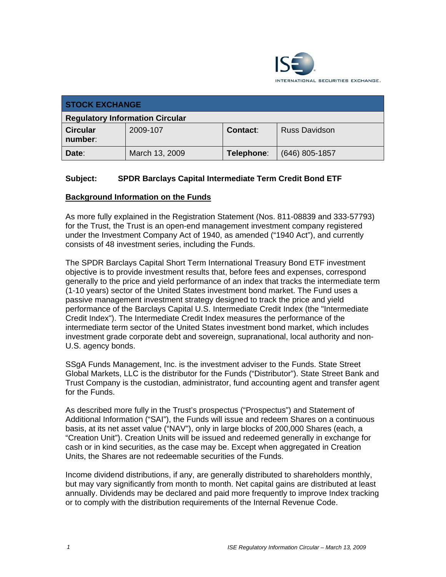

| <b>STOCK EXCHANGE</b>                  |                |            |                      |
|----------------------------------------|----------------|------------|----------------------|
| <b>Regulatory Information Circular</b> |                |            |                      |
| <b>Circular</b><br>number:             | 2009-107       | Contact:   | <b>Russ Davidson</b> |
| Date:                                  | March 13, 2009 | Telephone: | $(646)$ 805-1857     |

### **Subject: SPDR Barclays Capital Intermediate Term Credit Bond ETF**

#### **Background Information on the Funds**

As more fully explained in the Registration Statement (Nos. 811-08839 and 333-57793) for the Trust, the Trust is an open-end management investment company registered under the Investment Company Act of 1940, as amended ("1940 Act"), and currently consists of 48 investment series, including the Funds.

The SPDR Barclays Capital Short Term International Treasury Bond ETF investment objective is to provide investment results that, before fees and expenses, correspond generally to the price and yield performance of an index that tracks the intermediate term (1-10 years) sector of the United States investment bond market. The Fund uses a passive management investment strategy designed to track the price and yield performance of the Barclays Capital U.S. Intermediate Credit Index (the "Intermediate Credit Index"). The Intermediate Credit Index measures the performance of the intermediate term sector of the United States investment bond market, which includes investment grade corporate debt and sovereign, supranational, local authority and non-U.S. agency bonds.

SSgA Funds Management, Inc. is the investment adviser to the Funds. State Street Global Markets, LLC is the distributor for the Funds ("Distributor"). State Street Bank and Trust Company is the custodian, administrator, fund accounting agent and transfer agent for the Funds.

As described more fully in the Trust's prospectus ("Prospectus") and Statement of Additional Information ("SAI"), the Funds will issue and redeem Shares on a continuous basis, at its net asset value ("NAV"), only in large blocks of 200,000 Shares (each, a "Creation Unit"). Creation Units will be issued and redeemed generally in exchange for cash or in kind securities, as the case may be. Except when aggregated in Creation Units, the Shares are not redeemable securities of the Funds.

Income dividend distributions, if any, are generally distributed to shareholders monthly, but may vary significantly from month to month. Net capital gains are distributed at least annually. Dividends may be declared and paid more frequently to improve Index tracking or to comply with the distribution requirements of the Internal Revenue Code.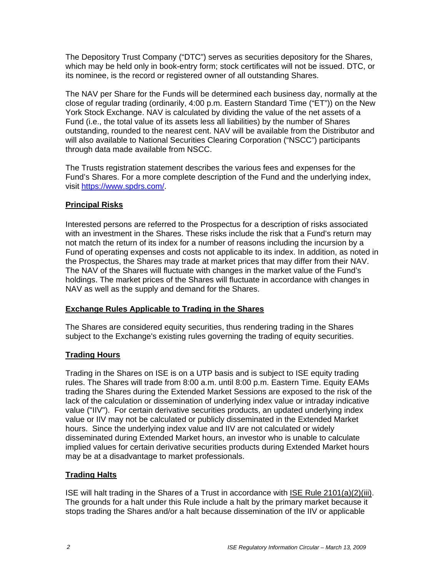The Depository Trust Company ("DTC") serves as securities depository for the Shares, which may be held only in book-entry form; stock certificates will not be issued. DTC, or its nominee, is the record or registered owner of all outstanding Shares.

The NAV per Share for the Funds will be determined each business day, normally at the close of regular trading (ordinarily, 4:00 p.m. Eastern Standard Time ("ET")) on the New York Stock Exchange. NAV is calculated by dividing the value of the net assets of a Fund (i.e., the total value of its assets less all liabilities) by the number of Shares outstanding, rounded to the nearest cent. NAV will be available from the Distributor and will also available to National Securities Clearing Corporation ("NSCC") participants through data made available from NSCC.

The Trusts registration statement describes the various fees and expenses for the Fund's Shares. For a more complete description of the Fund and the underlying index, visit https://www.spdrs.com/.

#### **Principal Risks**

Interested persons are referred to the Prospectus for a description of risks associated with an investment in the Shares. These risks include the risk that a Fund's return may not match the return of its index for a number of reasons including the incursion by a Fund of operating expenses and costs not applicable to its index. In addition, as noted in the Prospectus, the Shares may trade at market prices that may differ from their NAV. The NAV of the Shares will fluctuate with changes in the market value of the Fund's holdings. The market prices of the Shares will fluctuate in accordance with changes in NAV as well as the supply and demand for the Shares.

# **Exchange Rules Applicable to Trading in the Shares**

The Shares are considered equity securities, thus rendering trading in the Shares subject to the Exchange's existing rules governing the trading of equity securities.

#### **Trading Hours**

Trading in the Shares on ISE is on a UTP basis and is subject to ISE equity trading rules. The Shares will trade from 8:00 a.m. until 8:00 p.m. Eastern Time. Equity EAMs trading the Shares during the Extended Market Sessions are exposed to the risk of the lack of the calculation or dissemination of underlying index value or intraday indicative value ("IIV"). For certain derivative securities products, an updated underlying index value or IIV may not be calculated or publicly disseminated in the Extended Market hours. Since the underlying index value and IIV are not calculated or widely disseminated during Extended Market hours, an investor who is unable to calculate implied values for certain derivative securities products during Extended Market hours may be at a disadvantage to market professionals.

# **Trading Halts**

ISE will halt trading in the Shares of a Trust in accordance with ISE Rule 2101(a)(2)(iii). The grounds for a halt under this Rule include a halt by the primary market because it stops trading the Shares and/or a halt because dissemination of the IIV or applicable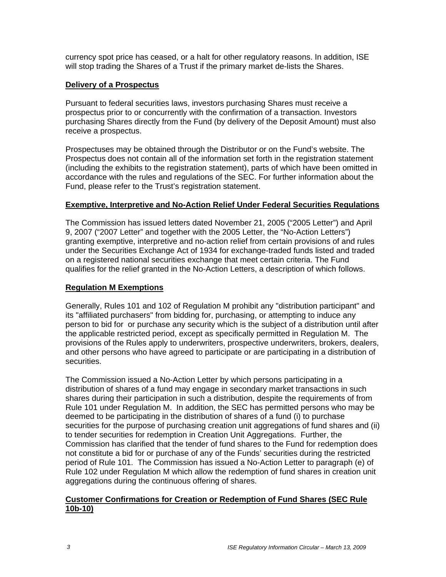currency spot price has ceased, or a halt for other regulatory reasons. In addition, ISE will stop trading the Shares of a Trust if the primary market de-lists the Shares.

#### **Delivery of a Prospectus**

Pursuant to federal securities laws, investors purchasing Shares must receive a prospectus prior to or concurrently with the confirmation of a transaction. Investors purchasing Shares directly from the Fund (by delivery of the Deposit Amount) must also receive a prospectus.

Prospectuses may be obtained through the Distributor or on the Fund's website. The Prospectus does not contain all of the information set forth in the registration statement (including the exhibits to the registration statement), parts of which have been omitted in accordance with the rules and regulations of the SEC. For further information about the Fund, please refer to the Trust's registration statement.

#### **Exemptive, Interpretive and No-Action Relief Under Federal Securities Regulations**

The Commission has issued letters dated November 21, 2005 ("2005 Letter") and April 9, 2007 ("2007 Letter" and together with the 2005 Letter, the "No-Action Letters") granting exemptive, interpretive and no-action relief from certain provisions of and rules under the Securities Exchange Act of 1934 for exchange-traded funds listed and traded on a registered national securities exchange that meet certain criteria. The Fund qualifies for the relief granted in the No-Action Letters, a description of which follows.

#### **Regulation M Exemptions**

Generally, Rules 101 and 102 of Regulation M prohibit any "distribution participant" and its "affiliated purchasers" from bidding for, purchasing, or attempting to induce any person to bid for or purchase any security which is the subject of a distribution until after the applicable restricted period, except as specifically permitted in Regulation M. The provisions of the Rules apply to underwriters, prospective underwriters, brokers, dealers, and other persons who have agreed to participate or are participating in a distribution of securities.

The Commission issued a No-Action Letter by which persons participating in a distribution of shares of a fund may engage in secondary market transactions in such shares during their participation in such a distribution, despite the requirements of from Rule 101 under Regulation M. In addition, the SEC has permitted persons who may be deemed to be participating in the distribution of shares of a fund (i) to purchase securities for the purpose of purchasing creation unit aggregations of fund shares and (ii) to tender securities for redemption in Creation Unit Aggregations. Further, the Commission has clarified that the tender of fund shares to the Fund for redemption does not constitute a bid for or purchase of any of the Funds' securities during the restricted period of Rule 101. The Commission has issued a No-Action Letter to paragraph (e) of Rule 102 under Regulation M which allow the redemption of fund shares in creation unit aggregations during the continuous offering of shares.

#### **Customer Confirmations for Creation or Redemption of Fund Shares (SEC Rule 10b-10)**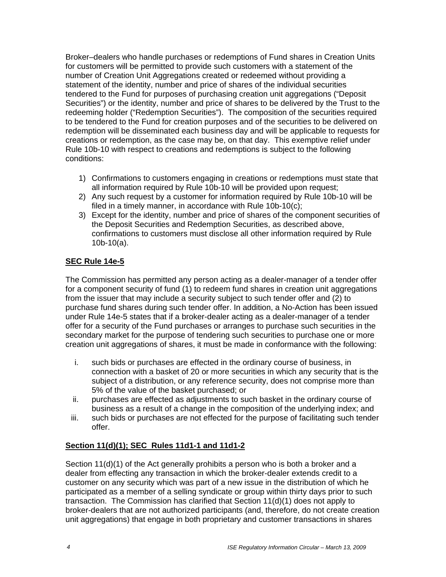Broker–dealers who handle purchases or redemptions of Fund shares in Creation Units for customers will be permitted to provide such customers with a statement of the number of Creation Unit Aggregations created or redeemed without providing a statement of the identity, number and price of shares of the individual securities tendered to the Fund for purposes of purchasing creation unit aggregations ("Deposit Securities") or the identity, number and price of shares to be delivered by the Trust to the redeeming holder ("Redemption Securities"). The composition of the securities required to be tendered to the Fund for creation purposes and of the securities to be delivered on redemption will be disseminated each business day and will be applicable to requests for creations or redemption, as the case may be, on that day. This exemptive relief under Rule 10b-10 with respect to creations and redemptions is subject to the following conditions:

- 1) Confirmations to customers engaging in creations or redemptions must state that all information required by Rule 10b-10 will be provided upon request;
- 2) Any such request by a customer for information required by Rule 10b-10 will be filed in a timely manner, in accordance with Rule 10b-10(c);
- 3) Except for the identity, number and price of shares of the component securities of the Deposit Securities and Redemption Securities, as described above, confirmations to customers must disclose all other information required by Rule 10b-10(a).

# **SEC Rule 14e-5**

The Commission has permitted any person acting as a dealer-manager of a tender offer for a component security of fund (1) to redeem fund shares in creation unit aggregations from the issuer that may include a security subject to such tender offer and (2) to purchase fund shares during such tender offer. In addition, a No-Action has been issued under Rule 14e-5 states that if a broker-dealer acting as a dealer-manager of a tender offer for a security of the Fund purchases or arranges to purchase such securities in the secondary market for the purpose of tendering such securities to purchase one or more creation unit aggregations of shares, it must be made in conformance with the following:

- i. such bids or purchases are effected in the ordinary course of business, in connection with a basket of 20 or more securities in which any security that is the subject of a distribution, or any reference security, does not comprise more than 5% of the value of the basket purchased; or
- ii. purchases are effected as adjustments to such basket in the ordinary course of business as a result of a change in the composition of the underlying index; and
- iii. such bids or purchases are not effected for the purpose of facilitating such tender offer.

#### **Section 11(d)(1); SEC Rules 11d1-1 and 11d1-2**

Section 11(d)(1) of the Act generally prohibits a person who is both a broker and a dealer from effecting any transaction in which the broker-dealer extends credit to a customer on any security which was part of a new issue in the distribution of which he participated as a member of a selling syndicate or group within thirty days prior to such transaction. The Commission has clarified that Section 11(d)(1) does not apply to broker-dealers that are not authorized participants (and, therefore, do not create creation unit aggregations) that engage in both proprietary and customer transactions in shares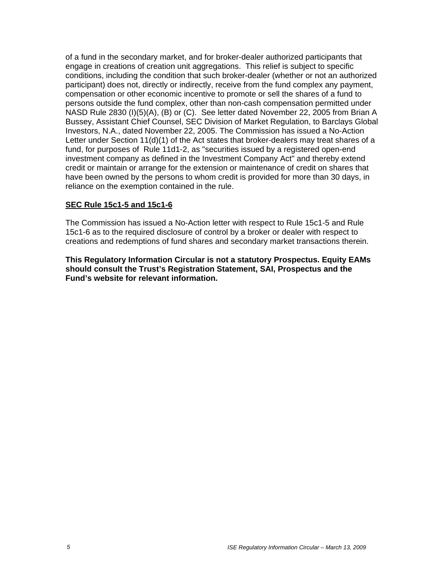of a fund in the secondary market, and for broker-dealer authorized participants that engage in creations of creation unit aggregations. This relief is subject to specific conditions, including the condition that such broker-dealer (whether or not an authorized participant) does not, directly or indirectly, receive from the fund complex any payment, compensation or other economic incentive to promote or sell the shares of a fund to persons outside the fund complex, other than non-cash compensation permitted under NASD Rule 2830 (I)(5)(A), (B) or (C). See letter dated November 22, 2005 from Brian A Bussey, Assistant Chief Counsel, SEC Division of Market Regulation, to Barclays Global Investors, N.A., dated November 22, 2005. The Commission has issued a No-Action Letter under Section 11(d)(1) of the Act states that broker-dealers may treat shares of a fund, for purposes of Rule 11d1-2, as "securities issued by a registered open-end investment company as defined in the Investment Company Act" and thereby extend credit or maintain or arrange for the extension or maintenance of credit on shares that have been owned by the persons to whom credit is provided for more than 30 days, in reliance on the exemption contained in the rule.

#### **SEC Rule 15c1-5 and 15c1-6**

The Commission has issued a No-Action letter with respect to Rule 15c1-5 and Rule 15c1-6 as to the required disclosure of control by a broker or dealer with respect to creations and redemptions of fund shares and secondary market transactions therein.

**This Regulatory Information Circular is not a statutory Prospectus. Equity EAMs should consult the Trust's Registration Statement, SAI, Prospectus and the Fund's website for relevant information.**